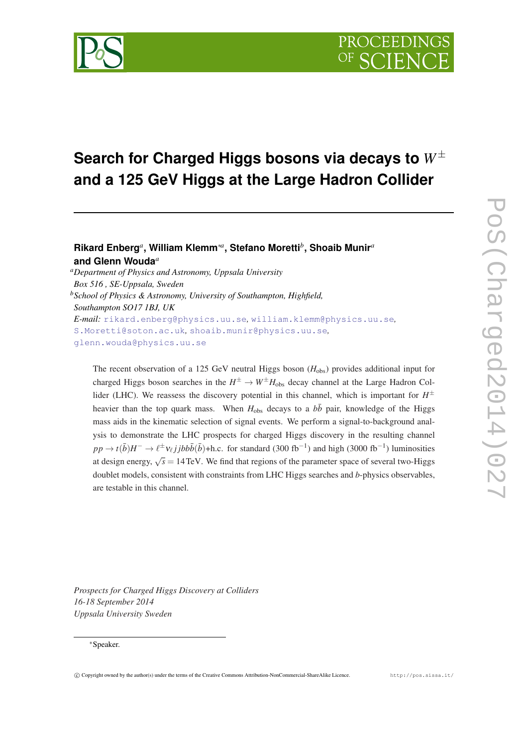# **Search for Charged Higgs bosons via decays to** *W*<sup>±</sup> **and a 125 GeV Higgs at the Large Hadron Collider**

## **Rikard Enberg***<sup>a</sup>* **, William Klemm**∗*<sup>a</sup>* **, Stefano Moretti***<sup>b</sup>* **, Shoaib Munir***<sup>a</sup>* **and Glenn Wouda***<sup>a</sup>*

*<sup>a</sup>Department of Physics and Astronomy, Uppsala University Box 516 , SE-Uppsala, Sweden <sup>b</sup>School of Physics & Astronomy, University of Southampton, Highfield, Southampton SO17 1BJ, UK E-mail:* [rikard.enberg@physics.uu.se](mailto:rikard.enberg@physics.uu.se)*,* [william.klemm@physics.uu.se](mailto:william.klemm@physics.uu.se)*,* [S.Moretti@soton.ac.uk](mailto:S.Moretti@soton.ac.uk)*,* [shoaib.munir@physics.uu.se](mailto:shoaib.munir@physics.uu.se)*,* [glenn.wouda@physics.uu.se](mailto:glenn.wouda@physics.uu.se)

The recent observation of a 125 GeV neutral Higgs boson (H<sub>obs</sub>) provides additional input for charged Higgs boson searches in the  $H^{\pm} \to W^{\pm}H_{\text{obs}}$  decay channel at the Large Hadron Collider (LHC). We reassess the discovery potential in this channel, which is important for  $H^{\pm}$ heavier than the top quark mass. When  $H_{obs}$  decays to a  $b\bar{b}$  pair, knowledge of the Higgs mass aids in the kinematic selection of signal events. We perform a signal-to-background analysis to demonstrate the LHC prospects for charged Higgs discovery in the resulting channel  $pp \to t(\bar{b})$ *H*<sup>-</sup> →  $\ell^{\pm}v_{\ell}jjbb\bar{b}(\bar{b})$ +h.c. for standard (300 fb<sup>-1</sup>) and high (3000 fb<sup>-1</sup>) luminosities at design energy,  $\sqrt{s} = 14 \text{ TeV}$ . We find that regions of the parameter space of several two-Higgs doublet models, consistent with constraints from LHC Higgs searches and *b*-physics observables, are testable in this channel.

*Prospects for Charged Higgs Discovery at Colliders 16-18 September 2014 Uppsala University Sweden*

#### <sup>∗</sup>Speaker.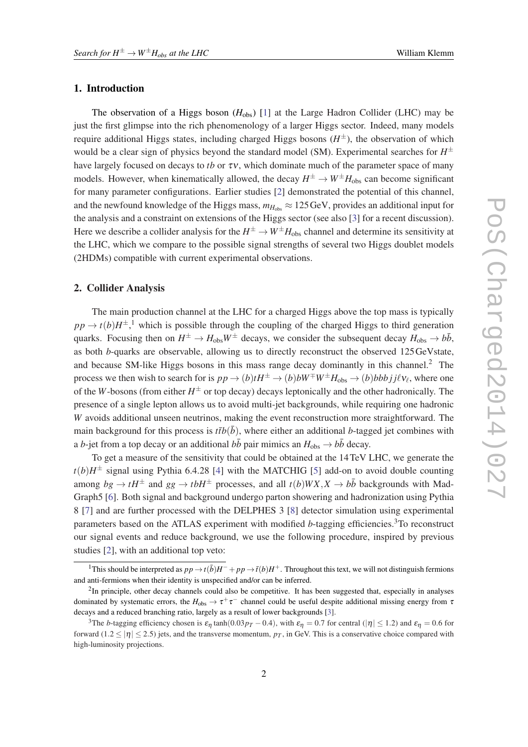#### 1. Introduction

The observation of a Higgs boson  $(H_{obs})$  [\[1\]](#page-5-0) at the Large Hadron Collider (LHC) may be just the first glimpse into the rich phenomenology of a larger Higgs sector. Indeed, many models require additional Higgs states, including charged Higgs bosons (*H* <sup>±</sup>), the observation of which would be a clear sign of physics beyond the standard model (SM). Experimental searches for *H* ± have largely focused on decays to *tb* or τν, which dominate much of the parameter space of many models. However, when kinematically allowed, the decay  $H^{\pm} \to W^{\pm} H_{\text{obs}}$  can become significant for many parameter configurations. Earlier studies [\[2\]](#page-5-0) demonstrated the potential of this channel, and the newfound knowledge of the Higgs mass,  $m_{H_{\text{obs}}} \approx 125 \,\text{GeV}$ , provides an additional input for the analysis and a constraint on extensions of the Higgs sector (see also [\[3\]](#page-5-0) for a recent discussion). Here we describe a collider analysis for the  $H^{\pm} \to W^{\pm} H_{\rm obs}$  channel and determine its sensitivity at the LHC, which we compare to the possible signal strengths of several two Higgs doublet models (2HDMs) compatible with current experimental observations.

#### 2. Collider Analysis

The main production channel at the LHC for a charged Higgs above the top mass is typically  $pp \rightarrow t(b)H^{\pm}$ ,<sup>1</sup> which is possible through the coupling of the charged Higgs to third generation quarks. Focusing then on  $H^{\pm} \to H_{\text{obs}}W^{\pm}$  decays, we consider the subsequent decay  $H_{\text{obs}} \to b\bar{b}$ , as both *b*-quarks are observable, allowing us to directly reconstruct the observed 125GeVstate, and because SM-like Higgs bosons in this mass range decay dominantly in this channel.<sup>2</sup> The process we then wish to search for is  $pp \to (b)tH^{\pm} \to (b)bW^{\mp}W^{\pm}H_{\text{obs}} \to (b)bbbjj\ell v_{\ell}$ , where one of the *W*-bosons (from either  $H^{\pm}$  or top decay) decays leptonically and the other hadronically. The presence of a single lepton allows us to avoid multi-jet backgrounds, while requiring one hadronic *W* avoids additional unseen neutrinos, making the event reconstruction more straightforward. The main background for this process is  $t\bar{t}b(\bar{b})$ , where either an additional *b*-tagged jet combines with a *b*-jet from a top decay or an additional  $b\bar{b}$  pair mimics an  $H_{obs} \rightarrow b\bar{b}$  decay.

To get a measure of the sensitivity that could be obtained at the 14TeV LHC, we generate the  $t(b)H^{\pm}$  signal using Pythia 6.4.28 [\[4\]](#page-5-0) with the MATCHIG [[5](#page-5-0)] add-on to avoid double counting among  $bg \rightarrow tH^{\pm}$  and  $gg \rightarrow tbH^{\pm}$  processes, and all  $t(b)WX, X \rightarrow b\bar{b}$  backgrounds with Mad-Graph5 [\[6\]](#page-5-0). Both signal and background undergo parton showering and hadronization using Pythia 8 [[7](#page-5-0)] and are further processed with the DELPHES 3 [\[8\]](#page-5-0) detector simulation using experimental parameters based on the ATLAS experiment with modified *b*-tagging efficiencies.<sup>3</sup>To reconstruct our signal events and reduce background, we use the following procedure, inspired by previous studies [\[2](#page-5-0)], with an additional top veto:

<sup>&</sup>lt;sup>1</sup>This should be interpreted as  $pp \to t(\bar{b})H^- + pp \to \bar{t}(b)H^+$ . Throughout this text, we will not distinguish fermions and anti-fermions when their identity is unspecified and/or can be inferred.

<sup>&</sup>lt;sup>2</sup>In principle, other decay channels could also be competitive. It has been suggested that, especially in analyses dominated by systematic errors, the  $H_{\rm obs} \to \tau^+\tau^-$  channel could be useful despite additional missing energy from  $\tau$ decays and a reduced branching ratio, largely as a result of lower backgrounds [\[3\]](#page-5-0).

<sup>&</sup>lt;sup>3</sup>The *b*-tagging efficiency chosen is  $\varepsilon_{\eta}$  tanh(0.03 $p_T$  − 0.4), with  $\varepsilon_{\eta}$  = 0.7 for central (| $\eta$ | ≤ 1.2) and  $\varepsilon_{\eta}$  = 0.6 for forward  $(1.2 \le |\eta| \le 2.5)$  jets, and the transverse momentum,  $p_T$ , in GeV. This is a conservative choice compared with high-luminosity projections.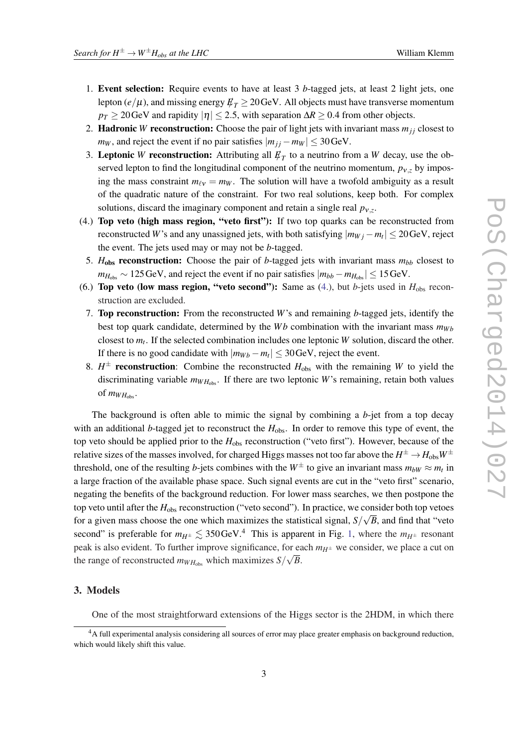- 1. Event selection: Require events to have at least 3 *b*-tagged jets, at least 2 light jets, one lepton  $(e/\mu)$ , and missing energy  $E_T \geq 20 \,\text{GeV}$ . All objects must have transverse momentum  $p_T$  ≥ 20GeV and rapidity  $|\eta|$  ≤ 2.5, with separation  $\Delta R$  ≥ 0.4 from other objects.
- 2. **Hadronic** *W* reconstruction: Choose the pair of light jets with invariant mass  $m_{ij}$  closest to *m*<sup>*W*</sup>, and reject the event if no pair satisfies  $|m_{ij} - m_W| \leq 30 \,\text{GeV}$ .
- 3. Leptonic *W* reconstruction: Attributing all  $\not\!\! E_T$  to a neutrino from a *W* decay, use the observed lepton to find the longitudinal component of the neutrino momentum,  $p_{v,z}$  by imposing the mass constraint  $m_{\ell v} = m_W$ . The solution will have a twofold ambiguity as a result of the quadratic nature of the constraint. For two real solutions, keep both. For complex solutions, discard the imaginary component and retain a single real  $p_{v,z}$ .
- (4.) Top veto (high mass region, "veto first"): If two top quarks can be reconstructed from reconstructed *W*'s and any unassigned jets, with both satisfying  $|m_{Wj} - m_t| \leq 20 \,\text{GeV}$ , reject the event. The jets used may or may not be *b*-tagged.
- 5.  $H_{obs}$  reconstruction: Choose the pair of *b*-tagged jets with invariant mass  $m_{bb}$  closest to  $m_{H_{obs}} \sim 125 \,\text{GeV}$ , and reject the event if no pair satisfies  $|m_{bb} - m_{H_{obs}}| \leq 15 \,\text{GeV}$ .
- (6.) Top veto (low mass region, "veto second"): Same as  $(4)$ , but *b*-jets used in  $H_{obs}$  reconstruction are excluded.
	- 7. Top reconstruction: From the reconstructed *W*'s and remaining *b*-tagged jets, identify the best top quark candidate, determined by the *Wb* combination with the invariant mass  $m_{Wb}$ closest to *m<sup>t</sup>* . If the selected combination includes one leptonic *W* solution, discard the other. If there is no good candidate with  $|m_{Wb} - m_t| \leq 30 \,\text{GeV}$ , reject the event.
	- 8.  $H^{\pm}$  **reconstruction**: Combine the reconstructed  $H_{\text{obs}}$  with the remaining *W* to yield the discriminating variable  $m_{WH_{obs}}$ . If there are two leptonic *W*'s remaining, retain both values of  $m_{W H_{\text{obs}}}$ .

The background is often able to mimic the signal by combining a *b*-jet from a top decay with an additional *b*-tagged jet to reconstruct the  $H_{obs}$ . In order to remove this type of event, the top veto should be applied prior to the *H*obs reconstruction ("veto first"). However, because of the relative sizes of the masses involved, for charged Higgs masses not too far above the  $H^\pm\!\to\! H_{\rm obs}W^\pm$ threshold, one of the resulting *b*-jets combines with the  $W^{\pm}$  to give an invariant mass  $m_{bW} \approx m_t$  in a large fraction of the available phase space. Such signal events are cut in the "veto first" scenario, negating the benefits of the background reduction. For lower mass searches, we then postpone the top veto until after the  $H_{obs}$  reconstruction ("veto second"). In practice, we consider both top vetoes for a given mass choose the one which maximizes the statistical signal,  $S/\sqrt{B}$ , and find that "veto second" is preferable for  $m_{H^{\pm}} \lesssim 350 \,\text{GeV}^4$ . This is apparent in Fig. [1](#page-3-0), where the  $m_{H^{\pm}}$  resonant peak is also evident. To further improve significance, for each  $m_{H^{\pm}}$  we consider, we place a cut on the range of reconstructed  $m_{WH_{obs}}$  which maximizes  $S/\sqrt{B}$ .

### 3. Models

One of the most straightforward extensions of the Higgs sector is the 2HDM, in which there

<sup>4</sup>A full experimental analysis considering all sources of error may place greater emphasis on background reduction, which would likely shift this value.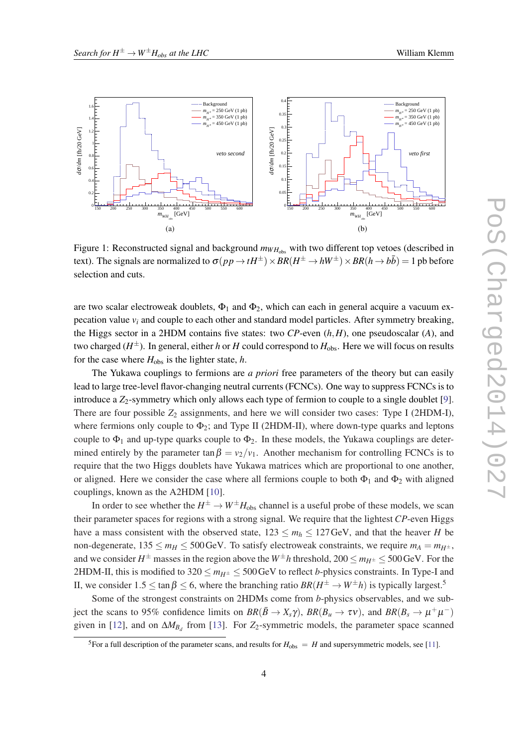<span id="page-3-0"></span>

Figure 1: Reconstructed signal and background  $m_{WH_{obs}}$  with two different top vetoes (described in text). The signals are normalized to  $\sigma(pp \to t H^\pm) \times BR(H^\pm \to h W^\pm) \times BR(h \to b\bar{b}) = 1$  pb before selection and cuts.

are two scalar electroweak doublets,  $\Phi_1$  and  $\Phi_2$ , which can each in general acquire a vacuum expecation value  $v_i$  and couple to each other and standard model particles. After symmetry breaking, the Higgs sector in a 2HDM contains five states: two *CP*-even (*h*,*H*), one pseudoscalar (*A*), and two charged (*H* <sup>±</sup>). In general, either *h* or *H* could correspond to *H*obs. Here we will focus on results for the case where  $H_{obs}$  is the lighter state, *h*.

The Yukawa couplings to fermions are *a priori* free parameters of the theory but can easily lead to large tree-level flavor-changing neutral currents (FCNCs). One way to suppress FCNCs is to introduce a  $Z_2$ -symmetry which only allows each type of fermion to couple to a single doublet [\[9\]](#page-5-0). There are four possible  $Z_2$  assignments, and here we will consider two cases: Type I (2HDM-I), where fermions only couple to  $\Phi_2$ ; and Type II (2HDM-II), where down-type quarks and leptons couple to  $\Phi_1$  and up-type quarks couple to  $\Phi_2$ . In these models, the Yukawa couplings are determined entirely by the parameter tan  $\beta = v_2/v_1$ . Another mechanism for controlling FCNCs is to require that the two Higgs doublets have Yukawa matrices which are proportional to one another, or aligned. Here we consider the case where all fermions couple to both  $\Phi_1$  and  $\Phi_2$  with aligned couplings, known as the A2HDM [\[10](#page-5-0)].

In order to see whether the  $H^{\pm} \to W^{\pm} H_{\text{obs}}$  channel is a useful probe of these models, we scan their parameter spaces for regions with a strong signal. We require that the lightest *CP*-even Higgs have a mass consistent with the observed state,  $123 \le m_h \le 127$  GeV, and that the heaver *H* be non-degenerate,  $135 \le m_H \le 500$  GeV. To satisfy electroweak constraints, we require  $m_A = m_{H^{\pm}}$ , and we consider  $H^{\pm}$  masses in the region above the  $W^{\pm}h$  threshold, 200  $\leq$   $m_{H^{\pm}} \leq$  500 GeV. For the 2HDM-II, this is modified to  $320 \le m_{H^{\pm}} \le 500$  GeV to reflect *b*-physics constraints. In Type-I and II, we consider  $1.5 \le \tan \beta \le 6$ , where the branching ratio  $BR(H^{\pm} \to W^{\pm}h)$  is typically largest.<sup>5</sup>

Some of the strongest constraints on 2HDMs come from *b*-physics observables, and we subject the scans to 95% confidence limits on  $BR(\bar{B} \to X_s \gamma)$ ,  $BR(B_u \to \tau \nu)$ , and  $BR(B_s \to \mu^+ \mu^-)$ given in [[12\]](#page-5-0), and on  $\Delta M_{B_d}$  from [\[13](#page-5-0)]. For *Z*<sub>2</sub>-symmetric models, the parameter space scanned

<sup>&</sup>lt;sup>5</sup>For a full description of the parameter scans, and results for  $H_{obs} = H$  and supersymmetric models, see [[11\]](#page-5-0).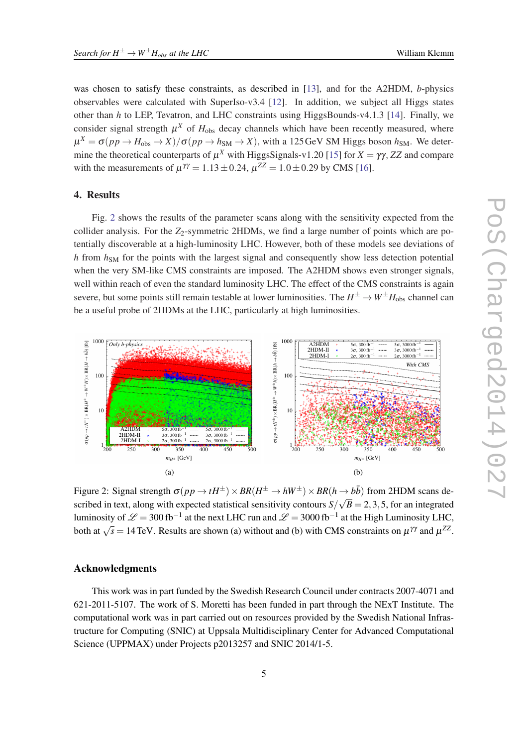was chosen to satisfy these constraints, as described in [[13\]](#page-5-0), and for the A2HDM, *b*-physics observables were calculated with SuperIso-v3.4  $[12]$  $[12]$ . In addition, we subject all Higgs states other than *h* to LEP, Tevatron, and LHC constraints using HiggsBounds-v4.1.3 [\[14\]](#page-5-0). Finally, we consider signal strength  $\mu^X$  of  $H_{obs}$  decay channels which have been recently measured, where  $\mu^X = \sigma(pp \to H_{obs} \to X)/\sigma(pp \to h_{SM} \to X)$ , with a 125 GeV SM Higgs boson  $h_{SM}$ . We determine the theoretical counterparts of  $\mu^X$  with HiggsSignals-v1.20 [[15\]](#page-5-0) for  $X = \gamma \gamma$ , ZZ and compare with the measurements of  $\mu^{\gamma\gamma} = 1.13 \pm 0.24$ ,  $\mu^{ZZ} = 1.0 \pm 0.29$  by CMS [[16\]](#page-5-0).

#### 4. Results

Fig. 2 shows the results of the parameter scans along with the sensitivity expected from the collider analysis. For the  $Z_2$ -symmetric 2HDMs, we find a large number of points which are potentially discoverable at a high-luminosity LHC. However, both of these models see deviations of *h* from  $h_{SM}$  for the points with the largest signal and consequently show less detection potential when the very SM-like CMS constraints are imposed. The A2HDM shows even stronger signals, well within reach of even the standard luminosity LHC. The effect of the CMS constraints is again severe, but some points still remain testable at lower luminosities. The  $H^\pm\to W^\pm H_{\rm obs}$  channel can be a useful probe of 2HDMs at the LHC, particularly at high luminosities.



Figure 2: Signal strength  $\sigma(pp \to tH^{\pm}) \times BR(H^{\pm} \to hW^{\pm}) \times BR(h \to b\bar{b})$  from 2HDM scans described in text, along with expected statistical sensitivity contours *S*/ √  $B = 2, 3, 5$ , for an integrated luminosity of  $\mathscr{L} =$  300 fb $^{-1}$  at the next LHC run and  $\mathscr{L} =$  3000 fb $^{-1}$  at the High Luminosity LHC, both at  $\sqrt{s} = 14$  TeV. Results are shown (a) without and (b) with CMS constraints on  $\mu^{\gamma\gamma}$  and  $\mu^{ZZ}$ .

#### Acknowledgments

This work was in part funded by the Swedish Research Council under contracts 2007-4071 and 621-2011-5107. The work of S. Moretti has been funded in part through the NExT Institute. The computational work was in part carried out on resources provided by the Swedish National Infrastructure for Computing (SNIC) at Uppsala Multidisciplinary Center for Advanced Computational Science (UPPMAX) under Projects p2013257 and SNIC 2014/1-5.